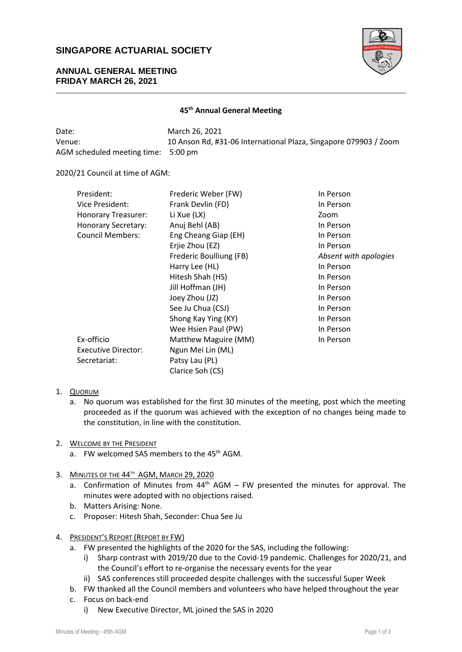# **SINGAPORE ACTUARIAL SOCIETY**



### **ANNUAL GENERAL MEETING FRIDAY MARCH 26, 2021**

### **45 th Annual General Meeting**

| Date:                               | March 26, 2021                                                   |
|-------------------------------------|------------------------------------------------------------------|
| Venue:                              | 10 Anson Rd, #31-06 International Plaza, Singapore 079903 / Zoom |
| AGM scheduled meeting time: 5:00 pm |                                                                  |

#### 2020/21 Council at time of AGM:

| President:                 | Frederic Weber (FW)     | In Person             |
|----------------------------|-------------------------|-----------------------|
| Vice President:            | Frank Devlin (FD)       | In Person             |
| <b>Honorary Treasurer:</b> | Li Xue (LX)             | Zoom                  |
| <b>Honorary Secretary:</b> | Anuj Behl (AB)          | In Person             |
| <b>Council Members:</b>    | Eng Cheang Giap (EH)    | In Person             |
|                            | Erjie Zhou (EZ)         | In Person             |
|                            | Frederic Boulliung (FB) | Absent with apologies |
|                            | Harry Lee (HL)          | In Person             |
|                            | Hitesh Shah (HS)        | In Person             |
|                            | Jill Hoffman (JH)       | In Person             |
|                            | Joey Zhou (JZ)          | In Person             |
|                            | See Ju Chua (CSJ)       | In Person             |
|                            | Shong Kay Ying (KY)     | In Person             |
|                            | Wee Hsien Paul (PW)     | In Person             |
| Ex-officio                 | Matthew Maguire (MM)    | In Person             |
| <b>Executive Director:</b> | Ngun Mei Lin (ML)       |                       |
| Secretariat:               | Patsy Lau (PL)          |                       |
|                            | Clarice Soh (CS)        |                       |

- 1. QUORUM
	- a. No quorum was established for the first 30 minutes of the meeting, post which the meeting proceeded as if the quorum was achieved with the exception of no changes being made to the constitution, in line with the constitution.
- 2. WELCOME BY THE PRESIDENT
	- a. FW welcomed SAS members to the 45<sup>th</sup> AGM.
- 3. MINUTES OF THE 44<sup>TH</sup> AGM, MARCH 29, 2020
	- a. Confirmation of Minutes from 44<sup>th</sup> AGM FW presented the minutes for approval. The minutes were adopted with no objections raised.
	- b. Matters Arising: None.
	- c. Proposer: Hitesh Shah, Seconder: Chua See Ju
- 4. PRESIDENT'S REPORT (REPORT BY FW)
	- a. FW presented the highlights of the 2020 for the SAS, including the following:
		- i) Sharp contrast with 2019/20 due to the Covid-19 pandemic. Challenges for 2020/21, and the Council's effort to re-organise the necessary events for the year
		- ii) SAS conferences still proceeded despite challenges with the successful Super Week
	- b. FW thanked all the Council members and volunteers who have helped throughout the year
	- c. Focus on back-end
		- i) New Executive Director, ML joined the SAS in 2020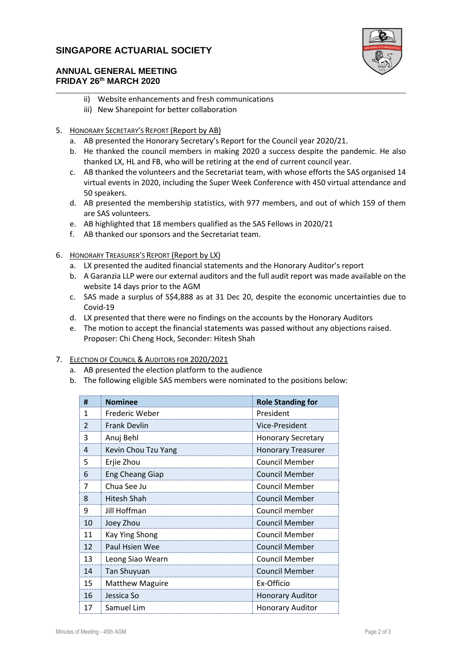# **SINGAPORE ACTUARIAL SOCIETY**



### **ANNUAL GENERAL MEETING FRIDAY 26 th MARCH 2020**

- ii) Website enhancements and fresh communications
- iii) New Sharepoint for better collaboration
- 5. HONORARY SECRETARY'S REPORT (Report by AB)
	- a. AB presented the Honorary Secretary's Report for the Council year 2020/21.
	- b. He thanked the council members in making 2020 a success despite the pandemic. He also thanked LX, HL and FB, who will be retiring at the end of current council year.
	- c. AB thanked the volunteers and the Secretariat team, with whose efforts the SAS organised 14 virtual events in 2020, including the Super Week Conference with 450 virtual attendance and 50 speakers.
	- d. AB presented the membership statistics, with 977 members, and out of which 159 of them are SAS volunteers.
	- e. AB highlighted that 18 members qualified as the SAS Fellows in 2020/21
	- f. AB thanked our sponsors and the Secretariat team.
- 6. HONORARY TREASURER'S REPORT (Report by LX)
	- a. LX presented the audited financial statements and the Honorary Auditor's report
	- b. A Garanzia LLP were our external auditors and the full audit report was made available on the website 14 days prior to the AGM
	- c. SAS made a surplus of S\$4,888 as at 31 Dec 20, despite the economic uncertainties due to Covid-19
	- d. LX presented that there were no findings on the accounts by the Honorary Auditors
	- e. The motion to accept the financial statements was passed without any objections raised. Proposer: Chi Cheng Hock, Seconder: Hitesh Shah
- 7. ELECTION OF COUNCIL & AUDITORS FOR 2020/2021
	- a. AB presented the election platform to the audience
	- b. The following eligible SAS members were nominated to the positions below:

| #             | <b>Nominee</b>         | <b>Role Standing for</b>  |
|---------------|------------------------|---------------------------|
| 1             | Frederic Weber         | President                 |
| $\mathcal{P}$ | <b>Frank Devlin</b>    | Vice-President            |
| 3             | Anuj Behl              | <b>Honorary Secretary</b> |
| 4             | Kevin Chou Tzu Yang    | <b>Honorary Treasurer</b> |
| 5             | Erjie Zhou             | <b>Council Member</b>     |
| 6             | <b>Eng Cheang Giap</b> | <b>Council Member</b>     |
| 7             | Chua See Ju            | <b>Council Member</b>     |
| 8             | Hitesh Shah            | Council Member            |
| 9             | Jill Hoffman           | Council member            |
| 10            | Joey Zhou              | <b>Council Member</b>     |
| 11            | Kay Ying Shong         | <b>Council Member</b>     |
| 12            | Paul Hsien Wee         | <b>Council Member</b>     |
| 13            | Leong Siao Wearn       | <b>Council Member</b>     |
| 14            | <b>Tan Shuyuan</b>     | <b>Council Member</b>     |
| 15            | <b>Matthew Maguire</b> | Ex-Officio                |
| 16            | Jessica So             | <b>Honorary Auditor</b>   |
| 17            | Samuel Lim             | <b>Honorary Auditor</b>   |